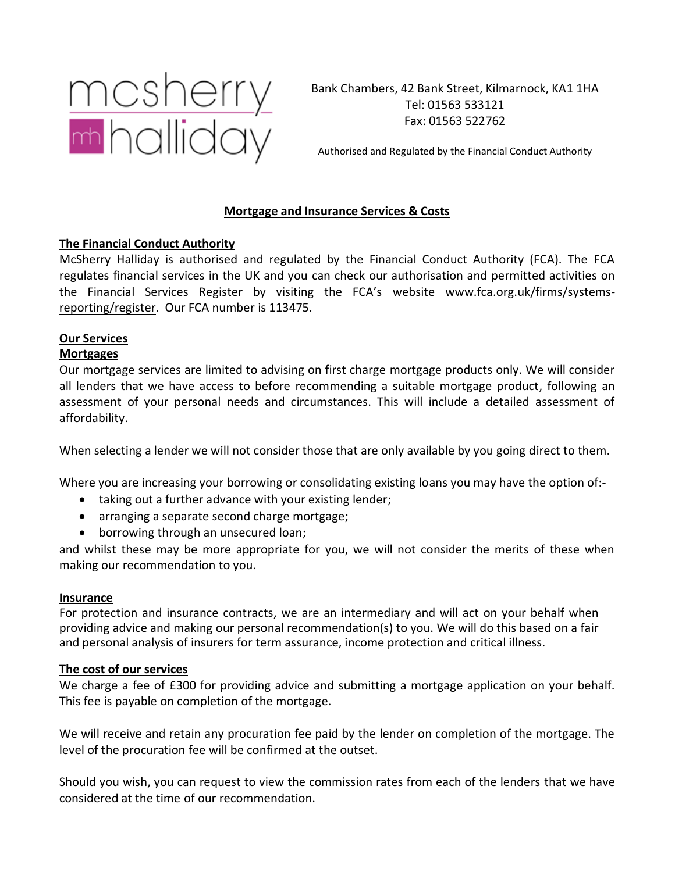

Bank Chambers, 42 Bank Street, Kilmarnock, KA1 1HA Tel: 01563 533121 Fax: 01563 522762

Authorised and Regulated by the Financial Conduct Authority

# **Mortgage and Insurance Services & Costs**

## **The Financial Conduct Authority**

McSherry Halliday is authorised and regulated by the Financial Conduct Authority (FCA). The FCA regulates financial services in the UK and you can check our authorisation and permitted activities on the Financial Services Register by visiting the FCA's website www.fca.org.uk/firms/systemsreporting/register. Our FCA number is 113475.

#### **Our Services Mortgages**

Our mortgage services are limited to advising on first charge mortgage products only. We will consider all lenders that we have access to before recommending a suitable mortgage product, following an assessment of your personal needs and circumstances. This will include a detailed assessment of affordability.

When selecting a lender we will not consider those that are only available by you going direct to them.

Where you are increasing your borrowing or consolidating existing loans you may have the option of:-

- taking out a further advance with your existing lender;
- arranging a separate second charge mortgage;
- borrowing through an unsecured loan;

and whilst these may be more appropriate for you, we will not consider the merits of these when making our recommendation to you.

## **Insurance**

For protection and insurance contracts, we are an intermediary and will act on your behalf when providing advice and making our personal recommendation(s) to you. We will do this based on a fair and personal analysis of insurers for term assurance, income protection and critical illness.

## **The cost of our services**

We charge a fee of £300 for providing advice and submitting a mortgage application on your behalf. This fee is payable on completion of the mortgage.

We will receive and retain any procuration fee paid by the lender on completion of the mortgage. The level of the procuration fee will be confirmed at the outset.

Should you wish, you can request to view the commission rates from each of the lenders that we have considered at the time of our recommendation.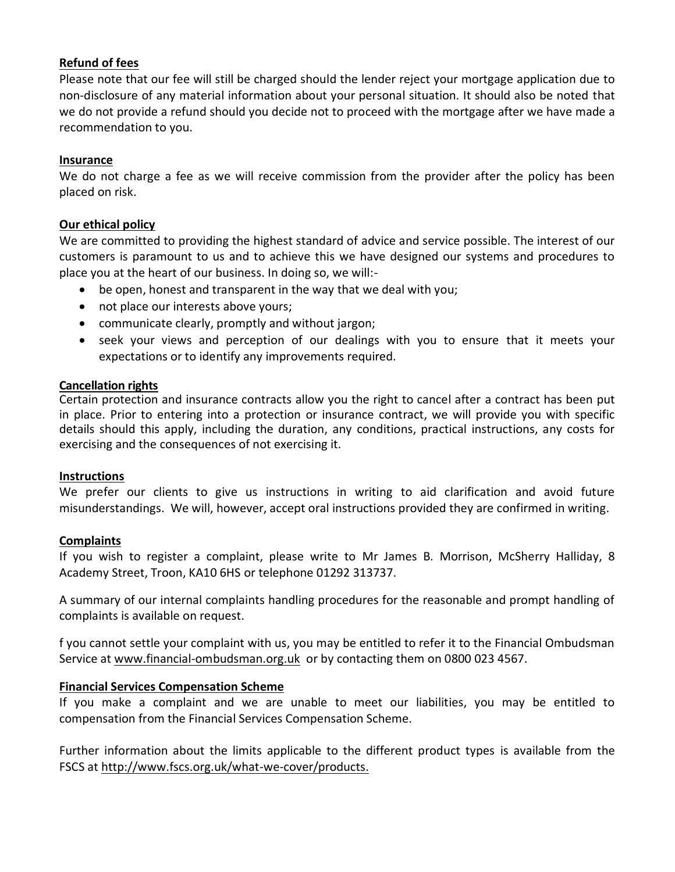# **Refund of fees**

Please note that our fee will still be charged should the lender reject your mortgage application due to non-disclosure of any material information about your personal situation. It should also be noted that we do not provide a refund should you decide not to proceed with the mortgage after we have made a recommendation to you.

## **Insurance**

We do not charge a fee as we will receive commission from the provider after the policy has been placed on risk.

# **Our ethical policy**

We are committed to providing the highest standard of advice and service possible. The interest of our customers is paramount to us and to achieve this we have designed our systems and procedures to place you at the heart of our business. In doing so, we will:-

- be open, honest and transparent in the way that we deal with you;
- not place our interests above yours;
- communicate clearly, promptly and without jargon;
- seek your views and perception of our dealings with you to ensure that it meets your expectations or to identify any improvements required.

# **Cancellation rights**

Certain protection and insurance contracts allow you the right to cancel after a contract has been put in place. Prior to entering into a protection or insurance contract, we will provide you with specific details should this apply, including the duration, any conditions, practical instructions, any costs for exercising and the consequences of not exercising it.

## **Instructions**

We prefer our clients to give us instructions in writing to aid clarification and avoid future misunderstandings. We will, however, accept oral instructions provided they are confirmed in writing.

# **Complaints**

If you wish to register a complaint, please write to Mr James B. Morrison, McSherry Halliday, 8 Academy Street, Troon, KA10 6HS or telephone 01292 313737.

A summary of our internal complaints handling procedures for the reasonable and prompt handling of complaints is available on request.

f you cannot settle your complaint with us, you may be entitled to refer it to the Financial Ombudsman Service at [www.financial-ombudsman.org.uk](http://www.financial-ombudsman.org.uk/) or by contacting them on 0800 023 4567.

# **Financial Services Compensation Scheme**

If you make a complaint and we are unable to meet our liabilities, you may be entitled to compensation from the Financial Services Compensation Scheme.

Further information about the limits applicable to the different product types is available from the FSCS at [http://www.fscs.org.uk/what-we-cover/products.](http://www.fscs.org.uk/what-we-cover/products)